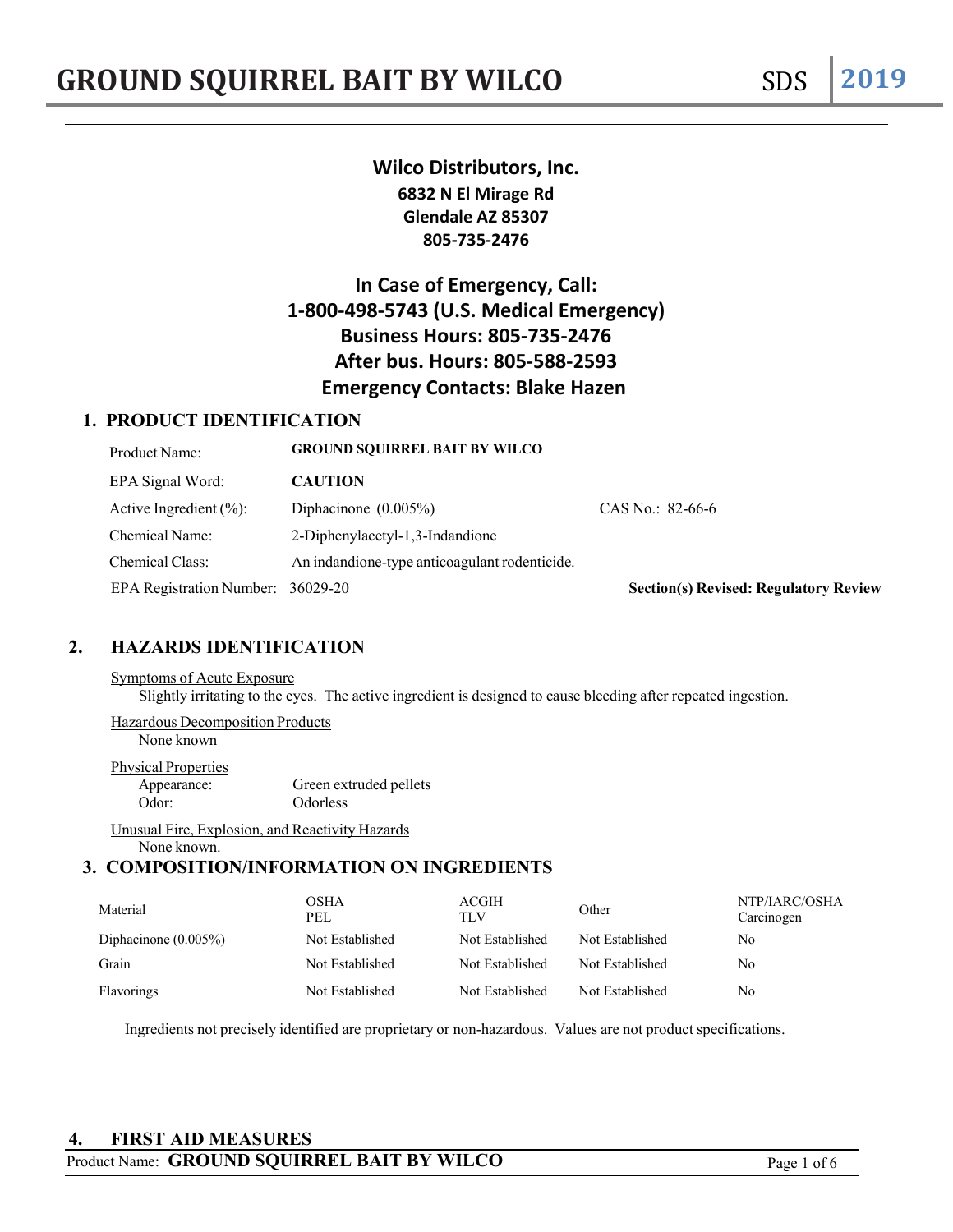# **Wilco Distributors, Inc. 6832 N El Mirage Rd Glendale AZ 85307 805-735-2476**

# **In Case of Emergency, Call: 1-800-498-5743 (U.S. Medical Emergency) Business Hours: 805-735-2476 After bus. Hours: 805-588-2593 Emergency Contacts: Blake Hazen**

# **1. PRODUCT IDENTIFICATION**

| Product Name:                     | <b>GROUND SOUIRREL BAIT BY WILCO</b>          |                                              |
|-----------------------------------|-----------------------------------------------|----------------------------------------------|
| EPA Signal Word:                  | <b>CAUTION</b>                                |                                              |
| Active Ingredient $(\%):$         | Diphacinone $(0.005\%)$                       | CAS No.: $82-66-6$                           |
| Chemical Name:                    | 2-Diphenylacetyl-1,3-Indandione               |                                              |
| Chemical Class:                   | An indandione-type anticoagulant rodenticide. |                                              |
| EPA Registration Number: 36029-20 |                                               | <b>Section(s) Revised: Regulatory Review</b> |

# **2. HAZARDS IDENTIFICATION**

### Symptoms of Acute Exposure

Slightly irritating to the eyes. The active ingredient is designed to cause bleeding after repeated ingestion.

Hazardous Decomposition Products None known

#### Physical Properties

Appearance: Green extruded pellets Odor: Odorless

Unusual Fire, Explosion, and Reactivity Hazards None known.

# **3. COMPOSITION/INFORMATION ON INGREDIENTS**

| Material                | OSHA<br>PEL     | ACGIH<br><b>TLV</b> | Other           | NTP/IARC/OSHA<br>Carcinogen |
|-------------------------|-----------------|---------------------|-----------------|-----------------------------|
| Diphacinone $(0.005\%)$ | Not Established | Not Established     | Not Established | No                          |
| Grain                   | Not Established | Not Established     | Not Established | No                          |
| Flavorings              | Not Established | Not Established     | Not Established | No                          |

Ingredients not precisely identified are proprietary or non-hazardous. Values are not product specifications.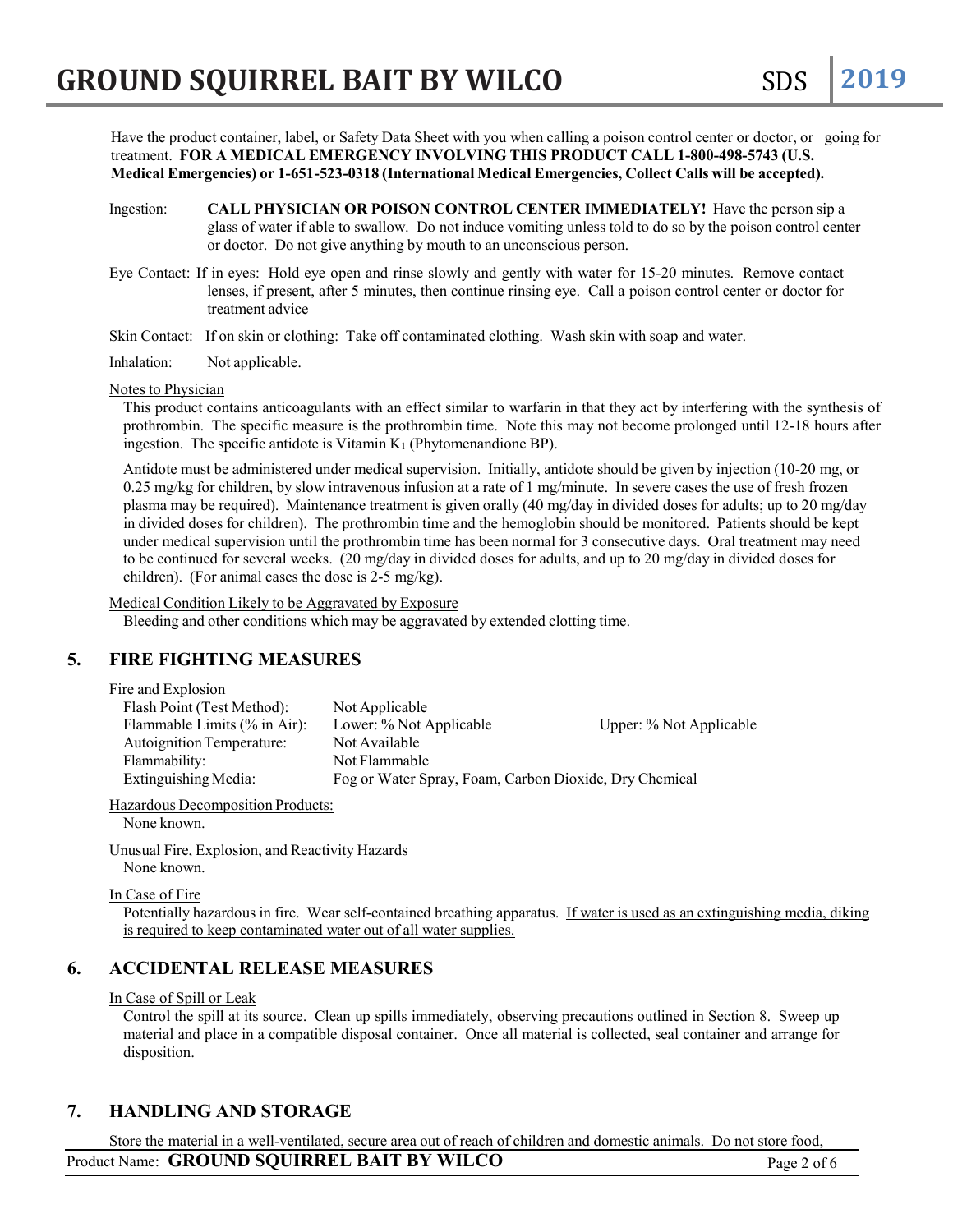Have the product container, label, or Safety Data Sheet with you when calling a poison control center or doctor, or going for treatment. **FOR A MEDICAL EMERGENCY INVOLVING THIS PRODUCT CALL 1-800-498-5743 (U.S. Medical Emergencies) or 1-651-523-0318 (International Medical Emergencies, Collect Calls will be accepted).**

- Ingestion: **CALL PHYSICIAN OR POISON CONTROL CENTER IMMEDIATELY!** Have the person sip a glass of water if able to swallow. Do not induce vomiting unless told to do so by the poison control center or doctor. Do not give anything by mouth to an unconscious person.
- Eye Contact: If in eyes: Hold eye open and rinse slowly and gently with water for 15-20 minutes. Remove contact lenses, if present, after 5 minutes, then continue rinsing eye. Call a poison control center or doctor for treatment advice

Skin Contact: If on skin or clothing: Take off contaminated clothing. Wash skin with soap and water.

Inhalation: Not applicable.

Notes to Physician

This product contains anticoagulants with an effect similar to warfarin in that they act by interfering with the synthesis of prothrombin. The specific measure is the prothrombin time. Note this may not become prolonged until 12-18 hours after ingestion. The specific antidote is Vitamin  $K_1$  (Phytomenandione BP).

Antidote must be administered under medical supervision. Initially, antidote should be given by injection (10-20 mg, or 0.25 mg/kg for children, by slow intravenous infusion at a rate of 1 mg/minute. In severe cases the use of fresh frozen plasma may be required). Maintenance treatment is given orally (40 mg/day in divided doses for adults; up to 20 mg/day in divided doses for children). The prothrombin time and the hemoglobin should be monitored. Patients should be kept under medical supervision until the prothrombin time has been normal for 3 consecutive days. Oral treatment may need to be continued for several weeks. (20 mg/day in divided doses for adults, and up to 20 mg/day in divided doses for children). (For animal cases the dose is 2-5 mg/kg).

Medical Condition Likely to be Aggravated by Exposure

Bleeding and other conditions which may be aggravated by extended clotting time.

### **5. FIRE FIGHTING MEASURES**

Fire and Explosion

| Flash Point (Test Method):      | Not Applicable                                         |                         |
|---------------------------------|--------------------------------------------------------|-------------------------|
| Flammable Limits $(\%$ in Air): | Lower: % Not Applicable                                | Upper: % Not Applicable |
| Autoignition Temperature:       | Not Available                                          |                         |
| Flammability:                   | Not Flammable                                          |                         |
| Extinguishing Media:            | Fog or Water Spray, Foam, Carbon Dioxide, Dry Chemical |                         |

Hazardous Decomposition Products:

None known.

Unusual Fire, Explosion, and Reactivity Hazards None known.

In Case of Fire

Potentially hazardous in fire. Wear self-contained breathing apparatus. If water is used as an extinguishing media, diking is required to keep contaminated water out of all water supplies.

# **6. ACCIDENTAL RELEASE MEASURES**

In Case of Spill or Leak

Control the spill at its source. Clean up spills immediately, observing precautions outlined in Section 8. Sweep up material and place in a compatible disposal container. Once all material is collected, seal container and arrange for disposition.

### **7. HANDLING AND STORAGE**

Product Name: **GROUND SQUIRREL BAIT BY WILCO** Page 2 of 6 Store the material in a well-ventilated, secure area out of reach of children and domestic animals. Do not store food,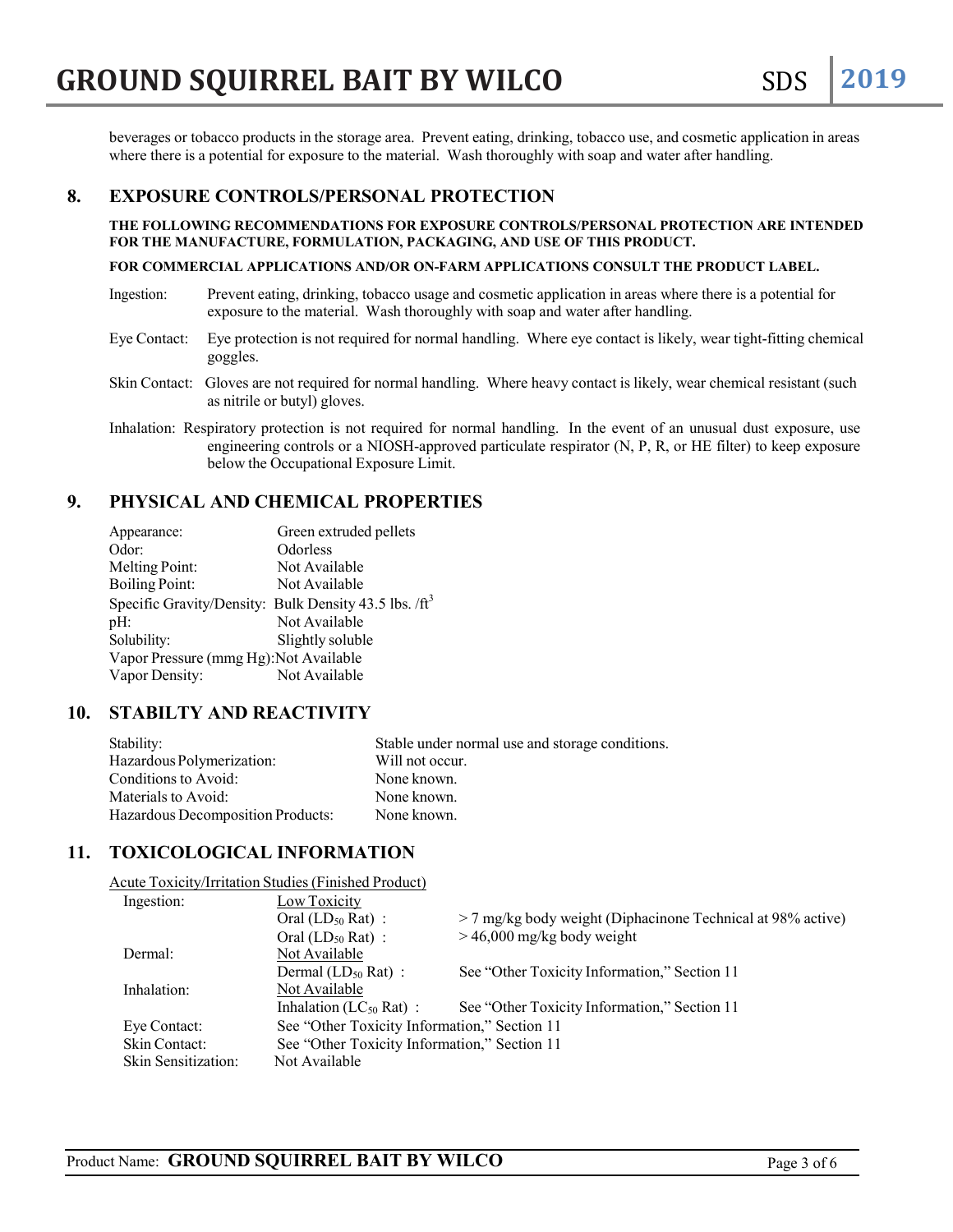beverages or tobacco products in the storage area. Prevent eating, drinking, tobacco use, and cosmetic application in areas where there is a potential for exposure to the material. Wash thoroughly with soap and water after handling.

# **8. EXPOSURE CONTROLS/PERSONAL PROTECTION**

**THE FOLLOWING RECOMMENDATIONS FOR EXPOSURE CONTROLS/PERSONAL PROTECTION ARE INTENDED FOR THE MANUFACTURE, FORMULATION, PACKAGING, AND USE OF THIS PRODUCT.**

#### **FOR COMMERCIAL APPLICATIONS AND/OR ON-FARM APPLICATIONS CONSULT THE PRODUCT LABEL.**

- Ingestion: Prevent eating, drinking, tobacco usage and cosmetic application in areas where there is a potential for exposure to the material. Wash thoroughly with soap and water after handling.
- Eye Contact: Eye protection is not required for normal handling. Where eye contact is likely, wear tight-fitting chemical goggles.
- Skin Contact: Gloves are not required for normal handling. Where heavy contact is likely, wear chemical resistant (such as nitrile or butyl) gloves.
- Inhalation: Respiratory protection is not required for normal handling. In the event of an unusual dust exposure, use engineering controls or a NIOSH-approved particulate respirator (N, P, R, or HE filter) to keep exposure below the Occupational Exposure Limit.

### **9. PHYSICAL AND CHEMICAL PROPERTIES**

| Appearance:                            | Green extruded pellets                                            |
|----------------------------------------|-------------------------------------------------------------------|
| Odor:                                  | Odorless                                                          |
| Melting Point:                         | Not Available                                                     |
| <b>Boiling Point:</b>                  | Not Available                                                     |
|                                        | Specific Gravity/Density: Bulk Density 43.5 lbs. /ft <sup>3</sup> |
| $pH$ :                                 | Not Available                                                     |
| Solubility:                            | Slightly soluble                                                  |
| Vapor Pressure (mmg Hg): Not Available |                                                                   |
| Vapor Density:                         | Not Available                                                     |
|                                        |                                                                   |

# **10. STABILTY AND REACTIVITY**

| Stability:                        | Stable under normal use and storage conditions. |
|-----------------------------------|-------------------------------------------------|
| Hazardous Polymerization:         | Will not occur.                                 |
| Conditions to Avoid:              | None known.                                     |
| Materials to Avoid:               | None known.                                     |
| Hazardous Decomposition Products: | None known.                                     |

### **11. TOXICOLOGICAL INFORMATION**

Acute Toxicity/Irritation Studies(Finished Product)

| Ingestion:          | Low Toxicity                                 |                                                               |
|---------------------|----------------------------------------------|---------------------------------------------------------------|
|                     | Oral $(LD_{50} Rat)$ :                       | $>$ 7 mg/kg body weight (Diphacinone Technical at 98% active) |
|                     | Oral $(LD_{50} Rat)$ :                       | $> 46,000$ mg/kg body weight                                  |
| Dermal:             | Not Available                                |                                                               |
|                     | Dermal $(LD_{50} Rat)$ :                     | See "Other Toxicity Information," Section 11                  |
| Inhalation:         | Not Available                                |                                                               |
|                     | Inhalation ( $LC_{50}$ Rat):                 | See "Other Toxicity Information," Section 11                  |
| Eye Contact:        | See "Other Toxicity Information," Section 11 |                                                               |
| Skin Contact:       | See "Other Toxicity Information," Section 11 |                                                               |
| Skin Sensitization: | Not Available                                |                                                               |
|                     |                                              |                                                               |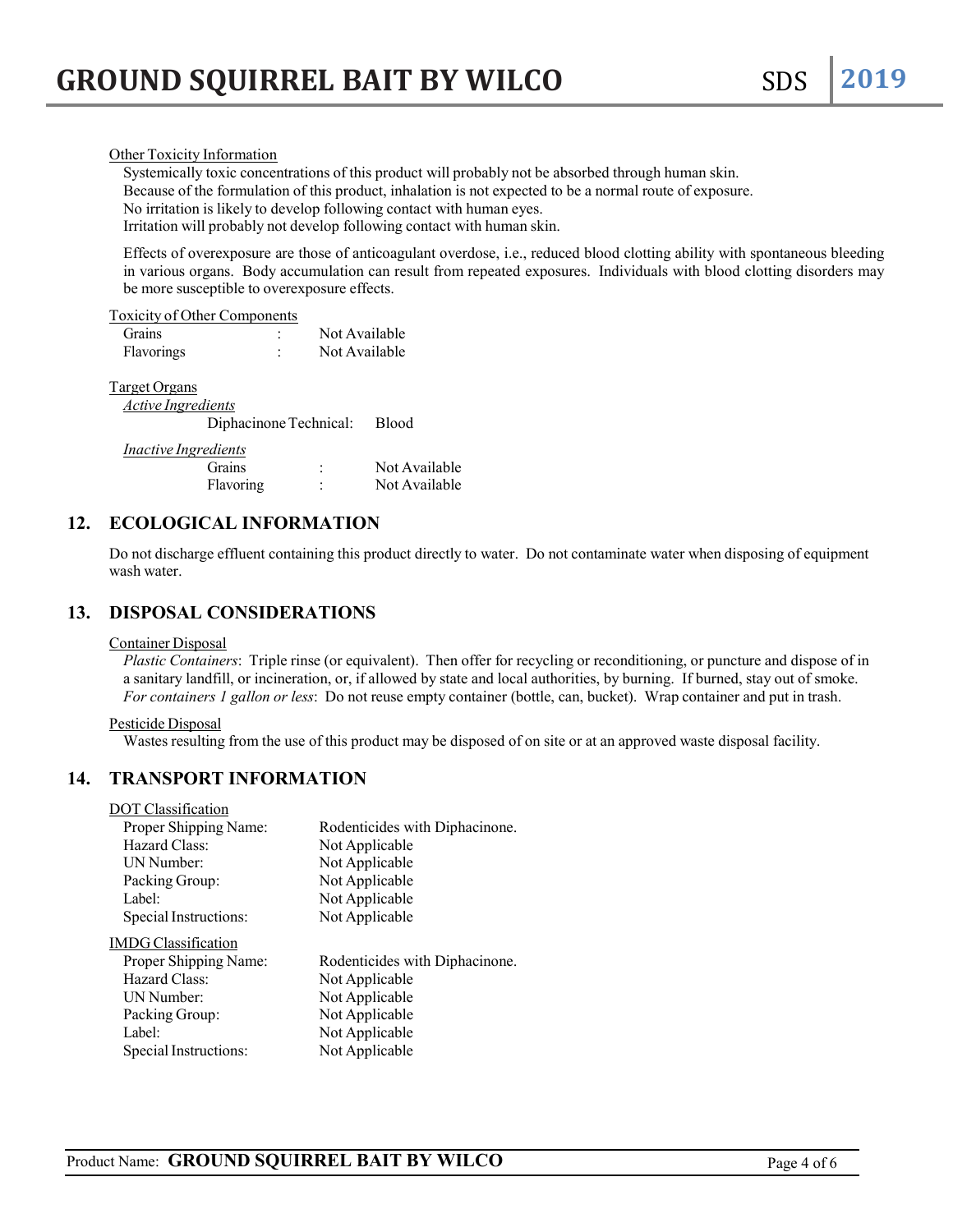Systemically toxic concentrations of this product will probably not be absorbed through human skin. Because of the formulation of this product, inhalation is not expected to be a normal route of exposure. No irritation is likely to develop following contact with human eyes. Irritation will probably not develop following contact with human skin.

Effects of overexposure are those of anticoagulant overdose, i.e., reduced blood clotting ability with spontaneous bleeding in various organs. Body accumulation can result from repeated exposures. Individuals with blood clotting disorders may be more susceptible to overexposure effects.

#### Toxicity of Other Components

| Grains            | Not Available |
|-------------------|---------------|
| <b>Flavorings</b> | Not Available |

### Target Organs

| <i>Active Ingredients</i>    |  |
|------------------------------|--|
| Diphacinone Technical: Blood |  |

#### *Inactive Ingredients*

| <b>Grains</b> | Not Available |
|---------------|---------------|
| Flavoring     | Not Available |

### **12. ECOLOGICAL INFORMATION**

Do not discharge effluent containing this product directly to water. Do not contaminate water when disposing of equipment wash water.

### **13. DISPOSAL CONSIDERATIONS**

### Container Disposal

*Plastic Containers*: Triple rinse (or equivalent). Then offer for recycling or reconditioning, or puncture and dispose of in a sanitary landfill, or incineration, or, if allowed by state and local authorities, by burning. If burned, stay out of smoke. *For containers 1 gallon or less*: Do not reuse empty container (bottle, can, bucket). Wrap container and put in trash.

### Pesticide Disposal

Wastes resulting from the use of this product may be disposed of on site or at an approved waste disposal facility.

### **14. TRANSPORT INFORMATION**

### DOT Classification

| Proper Shipping Name: | Rodenticides with Diphacinone. |
|-----------------------|--------------------------------|
| Hazard Class:         | Not Applicable                 |
| UN Number:            | Not Applicable                 |
| Packing Group:        | Not Applicable                 |
| Label:                | Not Applicable                 |
| Special Instructions: | Not Applicable                 |
| IMDG Classification   |                                |
| Proper Shipping Name: | Rodenticides with Diphacinone. |
| Hazard Class:         | Not Applicable                 |
| UN Number:            | Not Applicable                 |
| Packing Group:        | Not Applicable                 |
| Label:                | Not Applicable                 |
| Special Instructions: | Not Applicable                 |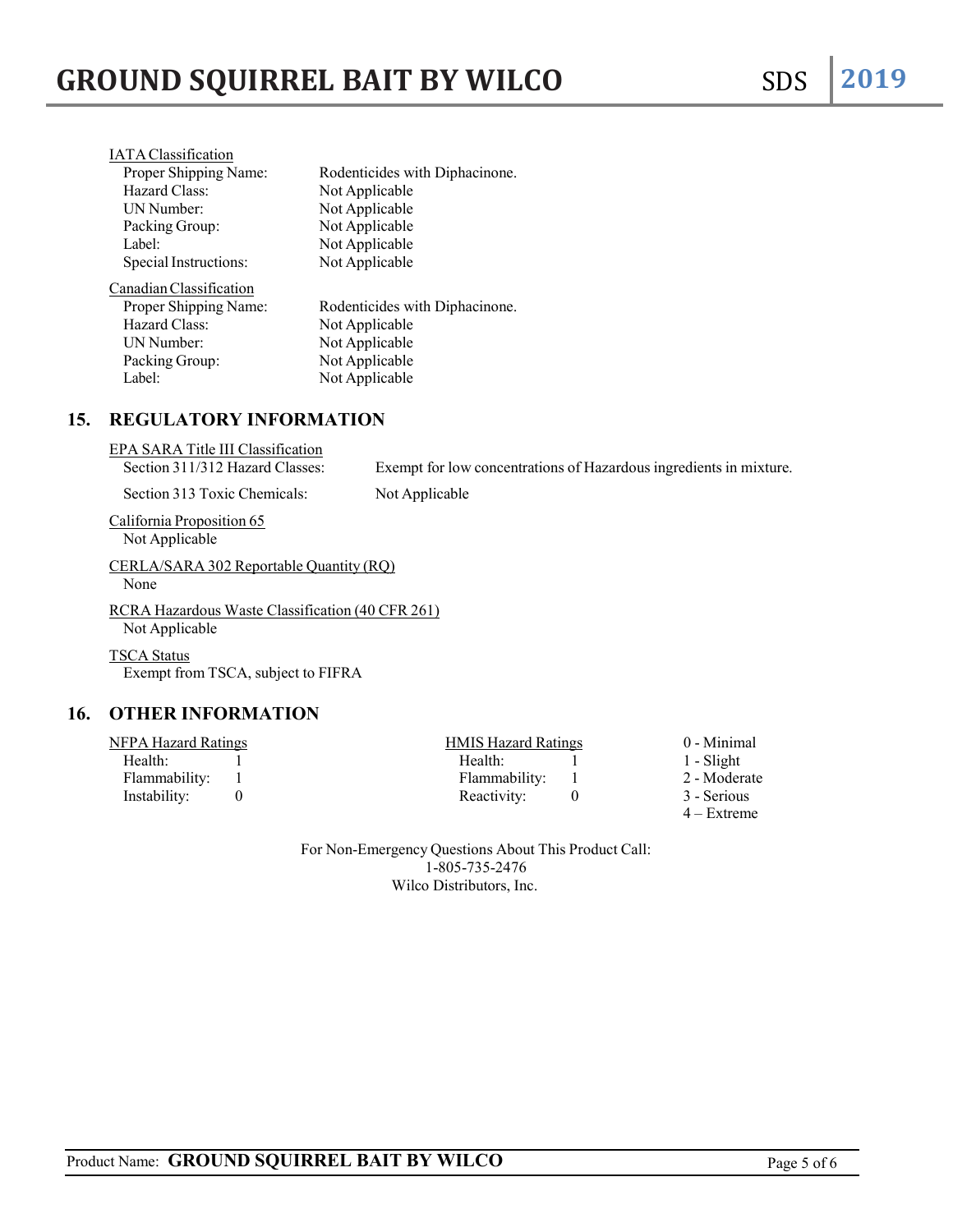| <b>IATA</b> Classification |                                |
|----------------------------|--------------------------------|
| Proper Shipping Name:      | Rodenticides with Diphacinone. |
| Hazard Class:              | Not Applicable                 |
| <b>IJN Number:</b>         | Not Applicable                 |
| Packing Group:             | Not Applicable                 |
| Label:                     | Not Applicable                 |
| Special Instructions:      | Not Applicable                 |
| Canadian Classification    |                                |
| Proper Shipping Name:      | Rodenticides with Diphacinone. |
| Hazard Class:              | Not Applicable                 |
| UN Number:                 | Not Applicable                 |
| Packing Group:             | Not Applicable                 |
| Label:                     | Not Applicable                 |

# **15. REGULATORY INFORMATION**

| EPA SARA Title III Classification<br>Section 311/312 Hazard Classes: | Exempt for low concentrations of Hazardous ingredients in mixture. |  |
|----------------------------------------------------------------------|--------------------------------------------------------------------|--|
| Section 313 Toxic Chemicals:                                         | Not Applicable                                                     |  |
| California Proposition 65<br>Not Applicable                          |                                                                    |  |
| CERLA/SARA 302 Reportable Quantity (RO)<br>None                      |                                                                    |  |
| RCRA Hazardous Waste Classification (40 CFR 261)<br>Not Applicable   |                                                                    |  |
| <b>TSCA Status</b><br>Exempt from TSCA, subject to FIFRA             |                                                                    |  |

# **16. OTHER INFORMATION**

| NFPA Hazard Ratings |  | <b>HMIS Hazard Ratings</b> |  | 0 - Minimal   |
|---------------------|--|----------------------------|--|---------------|
| Health:             |  | Health:                    |  | 1 - Slight    |
| Flammability: 1     |  | Flammability: 1            |  | 2 - Moderate  |
| Instability:        |  | Reactivity:                |  | 3 - Serious   |
|                     |  |                            |  | $4 -$ Extreme |

For Non-Emergency Questions About This Product Call: 1-805-735-2476 Wilco Distributors, Inc.